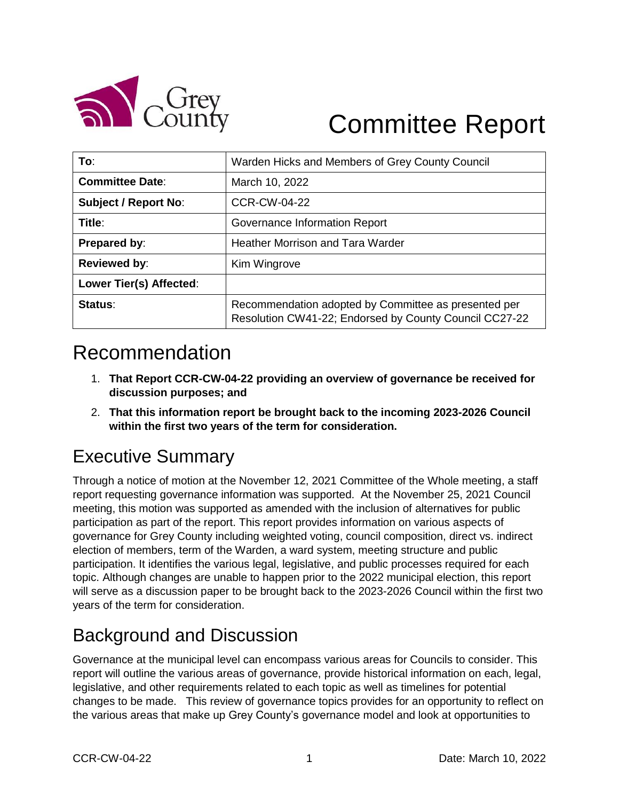

# Committee Report

| To:                         | Warden Hicks and Members of Grey County Council                                                                |  |  |  |  |
|-----------------------------|----------------------------------------------------------------------------------------------------------------|--|--|--|--|
| <b>Committee Date:</b>      | March 10, 2022                                                                                                 |  |  |  |  |
| <b>Subject / Report No:</b> | <b>CCR-CW-04-22</b>                                                                                            |  |  |  |  |
| Title:                      | Governance Information Report                                                                                  |  |  |  |  |
| Prepared by:                | <b>Heather Morrison and Tara Warder</b>                                                                        |  |  |  |  |
| <b>Reviewed by:</b>         | Kim Wingrove                                                                                                   |  |  |  |  |
| Lower Tier(s) Affected:     |                                                                                                                |  |  |  |  |
| Status:                     | Recommendation adopted by Committee as presented per<br>Resolution CW41-22; Endorsed by County Council CC27-22 |  |  |  |  |

# Recommendation

- 1. **That Report CCR-CW-04-22 providing an overview of governance be received for discussion purposes; and**
- 2. **That this information report be brought back to the incoming 2023-2026 Council within the first two years of the term for consideration.**

# Executive Summary

Through a notice of motion at the November 12, 2021 Committee of the Whole meeting, a staff report requesting governance information was supported. At the November 25, 2021 Council meeting, this motion was supported as amended with the inclusion of alternatives for public participation as part of the report. This report provides information on various aspects of governance for Grey County including weighted voting, council composition, direct vs. indirect election of members, term of the Warden, a ward system, meeting structure and public participation. It identifies the various legal, legislative, and public processes required for each topic. Although changes are unable to happen prior to the 2022 municipal election, this report will serve as a discussion paper to be brought back to the 2023-2026 Council within the first two years of the term for consideration.

# Background and Discussion

Governance at the municipal level can encompass various areas for Councils to consider. This report will outline the various areas of governance, provide historical information on each, legal, legislative, and other requirements related to each topic as well as timelines for potential changes to be made. This review of governance topics provides for an opportunity to reflect on the various areas that make up Grey County's governance model and look at opportunities to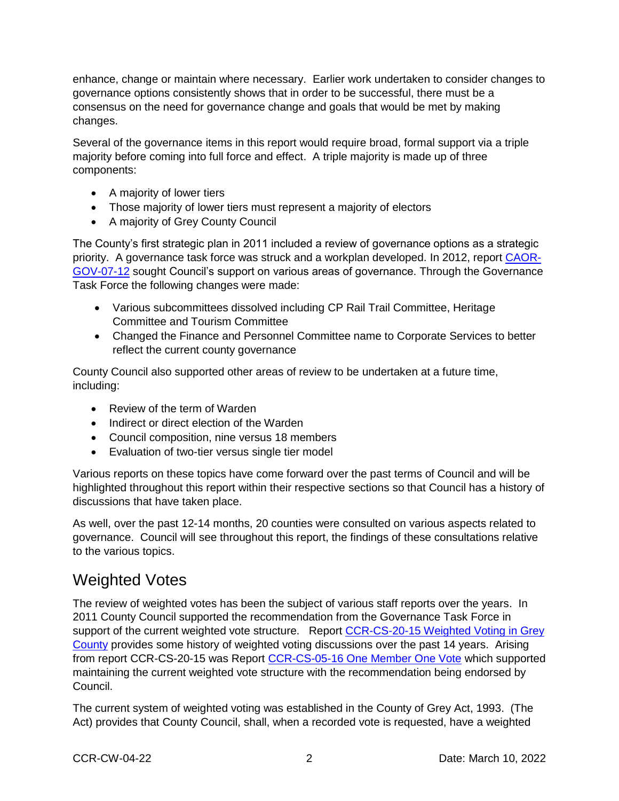enhance, change or maintain where necessary. Earlier work undertaken to consider changes to governance options consistently shows that in order to be successful, there must be a consensus on the need for governance change and goals that would be met by making changes.

Several of the governance items in this report would require broad, formal support via a triple majority before coming into full force and effect. A triple majority is made up of three components:

- A majority of lower tiers
- Those majority of lower tiers must represent a majority of electors
- A majority of Grey County Council

The County's first strategic plan in 2011 included a review of governance options as a strategic priority. A governance task force was struck and a workplan developed. In 2012, report [CAOR-](https://docs.grey.ca/share/s/1JV9waG7S5q8iLJ2igJXOA)[GOV-07-12](https://docs.grey.ca/share/s/1JV9waG7S5q8iLJ2igJXOA) sought Council's support on various areas of governance. Through the Governance Task Force the following changes were made:

- Various subcommittees dissolved including CP Rail Trail Committee, Heritage Committee and Tourism Committee
- Changed the Finance and Personnel Committee name to Corporate Services to better reflect the current county governance

County Council also supported other areas of review to be undertaken at a future time, including:

- Review of the term of Warden
- Indirect or direct election of the Warden
- Council composition, nine versus 18 members
- Evaluation of two-tier versus single tier model

Various reports on these topics have come forward over the past terms of Council and will be highlighted throughout this report within their respective sections so that Council has a history of discussions that have taken place.

As well, over the past 12-14 months, 20 counties were consulted on various aspects related to governance. Council will see throughout this report, the findings of these consultations relative to the various topics.

#### Weighted Votes

The review of weighted votes has been the subject of various staff reports over the years. In 2011 County Council supported the recommendation from the Governance Task Force in support of the current weighted vote structure. Report CCR-CS-20-15 Weighted Voting in Grey [County](https://docs.grey.ca/share/s/dFB69Jg2TOyA2Svs81yYhA) provides some history of weighted voting discussions over the past 14 years. Arising from report CCR-CS-20-15 was Report [CCR-CS-05-16 One Member One Vote](https://docs.grey.ca/share/s/dFB69Jg2TOyA2Svs81yYhA) which supported maintaining the current weighted vote structure with the recommendation being endorsed by Council.

The current system of weighted voting was established in the County of Grey Act, 1993. (The Act) provides that County Council, shall, when a recorded vote is requested, have a weighted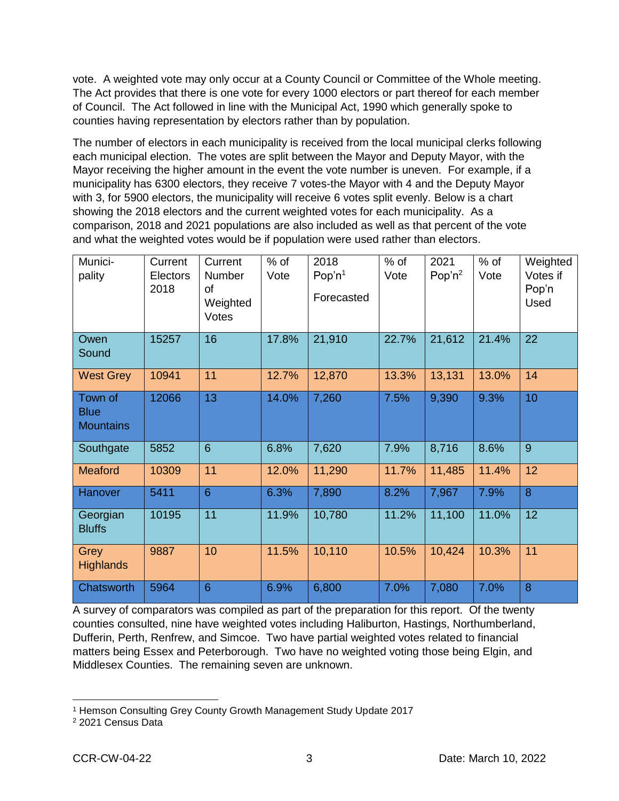vote. A weighted vote may only occur at a County Council or Committee of the Whole meeting. The Act provides that there is one vote for every 1000 electors or part thereof for each member of Council. The Act followed in line with the Municipal Act, 1990 which generally spoke to counties having representation by electors rather than by population.

The number of electors in each municipality is received from the local municipal clerks following each municipal election. The votes are split between the Mayor and Deputy Mayor, with the Mayor receiving the higher amount in the event the vote number is uneven. For example, if a municipality has 6300 electors, they receive 7 votes-the Mayor with 4 and the Deputy Mayor with 3, for 5900 electors, the municipality will receive 6 votes split evenly. Below is a chart showing the 2018 electors and the current weighted votes for each municipality. As a comparison, 2018 and 2021 populations are also included as well as that percent of the vote and what the weighted votes would be if population were used rather than electors.

| Munici-<br>pality                          | Current<br>Electors<br>2018 | Current<br><b>Number</b><br><b>of</b><br>Weighted<br>Votes | $%$ of<br>Vote | 2018<br>Pop'n $1$<br>Forecasted | $%$ of<br>Vote | 2021<br>Pop'n $^2$ | $%$ of<br>Vote | Weighted<br>Votes if<br>Pop'n<br>Used |
|--------------------------------------------|-----------------------------|------------------------------------------------------------|----------------|---------------------------------|----------------|--------------------|----------------|---------------------------------------|
| Owen<br>Sound                              | 15257                       | 16                                                         | 17.8%          | 21,910                          | 22.7%          | 21,612             | 21.4%          | 22                                    |
| <b>West Grey</b>                           | 10941                       | 11                                                         | 12.7%          | 12,870                          | 13.3%          | 13,131             | 13.0%          | 14                                    |
| Town of<br><b>Blue</b><br><b>Mountains</b> | 12066                       | 13                                                         | 14.0%          | 7,260                           | 7.5%           | 9,390              | 9.3%           | 10                                    |
| Southgate                                  | 5852                        | $6\phantom{1}6$                                            | 6.8%           | 7,620                           | 7.9%           | 8,716              | 8.6%           | 9                                     |
| <b>Meaford</b>                             | 10309                       | 11                                                         | 12.0%          | 11,290                          | 11.7%          | 11,485             | 11.4%          | 12                                    |
| Hanover                                    | 5411                        | $6\phantom{1}6$                                            | 6.3%           | 7,890                           | 8.2%           | 7,967              | 7.9%           | 8                                     |
| Georgian<br><b>Bluffs</b>                  | 10195                       | 11                                                         | 11.9%          | 10,780                          | 11.2%          | 11,100             | 11.0%          | 12                                    |
| Grey<br><b>Highlands</b>                   | 9887                        | 10                                                         | 11.5%          | 10,110                          | 10.5%          | 10,424             | 10.3%          | 11                                    |
| Chatsworth                                 | 5964                        | 6                                                          | 6.9%           | 6,800                           | 7.0%           | 7,080              | 7.0%           | 8                                     |

A survey of comparators was compiled as part of the preparation for this report. Of the twenty counties consulted, nine have weighted votes including Haliburton, Hastings, Northumberland, Dufferin, Perth, Renfrew, and Simcoe. Two have partial weighted votes related to financial matters being Essex and Peterborough. Two have no weighted voting those being Elgin, and Middlesex Counties. The remaining seven are unknown.

<sup>1</sup> Hemson Consulting Grey County Growth Management Study Update 2017

<sup>2</sup> 2021 Census Data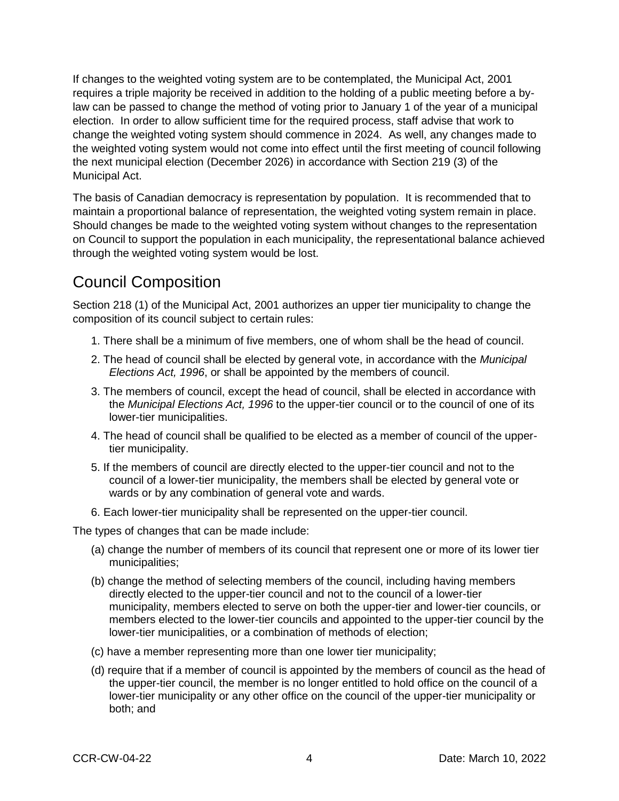If changes to the weighted voting system are to be contemplated, the Municipal Act, 2001 requires a triple majority be received in addition to the holding of a public meeting before a bylaw can be passed to change the method of voting prior to January 1 of the year of a municipal election. In order to allow sufficient time for the required process, staff advise that work to change the weighted voting system should commence in 2024. As well, any changes made to the weighted voting system would not come into effect until the first meeting of council following the next municipal election (December 2026) in accordance with Section 219 (3) of the Municipal Act.

The basis of Canadian democracy is representation by population. It is recommended that to maintain a proportional balance of representation, the weighted voting system remain in place. Should changes be made to the weighted voting system without changes to the representation on Council to support the population in each municipality, the representational balance achieved through the weighted voting system would be lost.

#### Council Composition

Section 218 (1) of the Municipal Act, 2001 authorizes an upper tier municipality to change the composition of its council subject to certain rules:

- 1. There shall be a minimum of five members, one of whom shall be the head of council.
- 2. The head of council shall be elected by general vote, in accordance with the *Municipal Elections Act, 1996*, or shall be appointed by the members of council.
- 3. The members of council, except the head of council, shall be elected in accordance with the *Municipal Elections Act, 1996* to the upper-tier council or to the council of one of its lower-tier municipalities.
- 4. The head of council shall be qualified to be elected as a member of council of the uppertier municipality.
- 5. If the members of council are directly elected to the upper-tier council and not to the council of a lower-tier municipality, the members shall be elected by general vote or wards or by any combination of general vote and wards.
- 6. Each lower-tier municipality shall be represented on the upper-tier council.

The types of changes that can be made include:

- (a) change the number of members of its council that represent one or more of its lower tier municipalities;
- (b) change the method of selecting members of the council, including having members directly elected to the upper-tier council and not to the council of a lower-tier municipality, members elected to serve on both the upper-tier and lower-tier councils, or members elected to the lower-tier councils and appointed to the upper-tier council by the lower-tier municipalities, or a combination of methods of election;
- (c) have a member representing more than one lower tier municipality;
- (d) require that if a member of council is appointed by the members of council as the head of the upper-tier council, the member is no longer entitled to hold office on the council of a lower-tier municipality or any other office on the council of the upper-tier municipality or both; and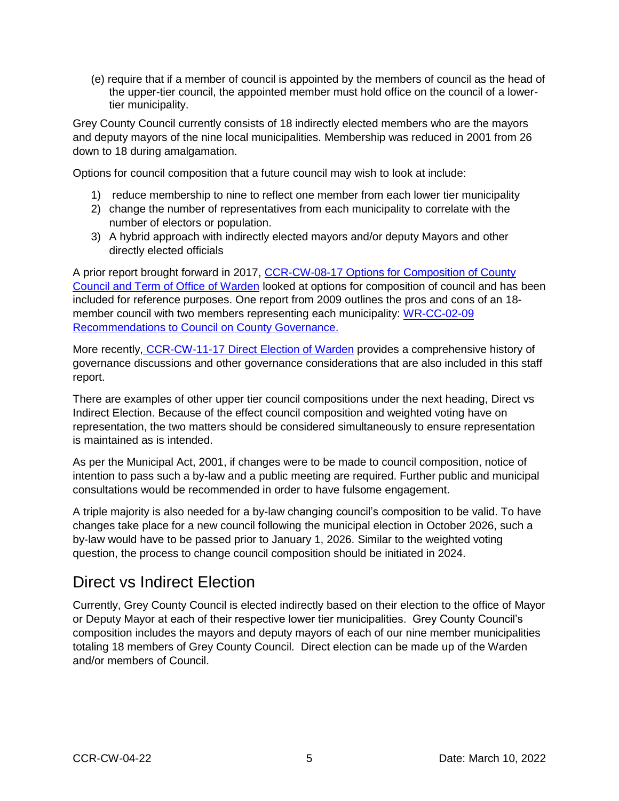(e) require that if a member of council is appointed by the members of council as the head of the upper-tier council, the appointed member must hold office on the council of a lowertier municipality.

Grey County Council currently consists of 18 indirectly elected members who are the mayors and deputy mayors of the nine local municipalities. Membership was reduced in 2001 from 26 down to 18 during amalgamation.

Options for council composition that a future council may wish to look at include:

- 1) reduce membership to nine to reflect one member from each lower tier municipality
- 2) change the number of representatives from each municipality to correlate with the number of electors or population.
- 3) A hybrid approach with indirectly elected mayors and/or deputy Mayors and other directly elected officials

A prior report brought forward in 2017, CCR-CW-08-17 Options for Composition of County [Council and Term of Office of Warden](https://docs.grey.ca/share/s/r9TwYnkzRx6IRgrRWXhfgg) looked at options for composition of council and has been included for reference purposes. One report from 2009 outlines the pros and cons of an 18 member council with two members representing each municipality: [WR-CC-02-09](https://docs.grey.ca/share/s/6_8XlvXKQsemyncrkrqUfw)  [Recommendations to Council on County Governance.](https://docs.grey.ca/share/s/6_8XlvXKQsemyncrkrqUfw)

More recently, [CCR-CW-11-17 Direct Election of Warden](https://docs.grey.ca/share/public?nodeRef=workspace://SpacesStore/9ac3df4e-2257-45a4-8e45-74b0ba79cecf) provides a comprehensive history of governance discussions and other governance considerations that are also included in this staff report.

There are examples of other upper tier council compositions under the next heading, Direct vs Indirect Election. Because of the effect council composition and weighted voting have on representation, the two matters should be considered simultaneously to ensure representation is maintained as is intended.

As per the Municipal Act, 2001, if changes were to be made to council composition, notice of intention to pass such a by-law and a public meeting are required. Further public and municipal consultations would be recommended in order to have fulsome engagement.

A triple majority is also needed for a by-law changing council's composition to be valid. To have changes take place for a new council following the municipal election in October 2026, such a by-law would have to be passed prior to January 1, 2026. Similar to the weighted voting question, the process to change council composition should be initiated in 2024.

#### Direct vs Indirect Election

Currently, Grey County Council is elected indirectly based on their election to the office of Mayor or Deputy Mayor at each of their respective lower tier municipalities. Grey County Council's composition includes the mayors and deputy mayors of each of our nine member municipalities totaling 18 members of Grey County Council. Direct election can be made up of the Warden and/or members of Council.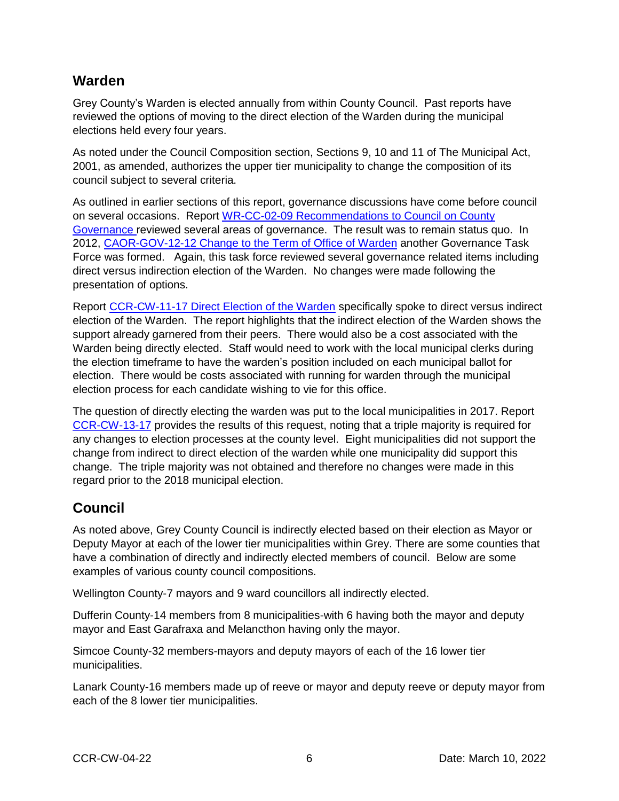#### **Warden**

Grey County's Warden is elected annually from within County Council. Past reports have reviewed the options of moving to the direct election of the Warden during the municipal elections held every four years.

As noted under the Council Composition section, Sections 9, 10 and 11 of The Municipal Act, 2001, as amended, authorizes the upper tier municipality to change the composition of its council subject to several criteria.

As outlined in earlier sections of this report, governance discussions have come before council on several occasions. Report [WR-CC-02-09 Recommendations to Council on County](https://docs.grey.ca/share/s/6_8XlvXKQsemyncrkrqUfw)  [Governance](https://docs.grey.ca/share/s/6_8XlvXKQsemyncrkrqUfw) reviewed several areas of governance. The result was to remain status quo. In 2012, [CAOR-GOV-12-12 Change to the Term of Office of Warden](https://docs.grey.ca/share/s/Tqu74idDROOwgTH0Si5rTQ) another Governance Task Force was formed. Again, this task force reviewed several governance related items including direct versus indirection election of the Warden. No changes were made following the presentation of options.

Report [CCR-CW-11-17 Direct Election of the Warden](https://docs.grey.ca/share/public?nodeRef=workspace://SpacesStore/9ac3df4e-2257-45a4-8e45-74b0ba79cecf) specifically spoke to direct versus indirect election of the Warden. The report highlights that the indirect election of the Warden shows the support already garnered from their peers. There would also be a cost associated with the Warden being directly elected. Staff would need to work with the local municipal clerks during the election timeframe to have the warden's position included on each municipal ballot for election. There would be costs associated with running for warden through the municipal election process for each candidate wishing to vie for this office.

The question of directly electing the warden was put to the local municipalities in 2017. Report [CCR-CW-13-17](https://docs.grey.ca/share/public?nodeRef=workspace://SpacesStore/0c3236ca-a48a-47dd-9005-e7d1400cee52) provides the results of this request, noting that a triple majority is required for any changes to election processes at the county level. Eight municipalities did not support the change from indirect to direct election of the warden while one municipality did support this change. The triple majority was not obtained and therefore no changes were made in this regard prior to the 2018 municipal election.

#### **Council**

As noted above, Grey County Council is indirectly elected based on their election as Mayor or Deputy Mayor at each of the lower tier municipalities within Grey. There are some counties that have a combination of directly and indirectly elected members of council. Below are some examples of various county council compositions.

Wellington County-7 mayors and 9 ward councillors all indirectly elected.

Dufferin County-14 members from 8 municipalities-with 6 having both the mayor and deputy mayor and East Garafraxa and Melancthon having only the mayor.

Simcoe County-32 members-mayors and deputy mayors of each of the 16 lower tier municipalities.

Lanark County-16 members made up of reeve or mayor and deputy reeve or deputy mayor from each of the 8 lower tier municipalities.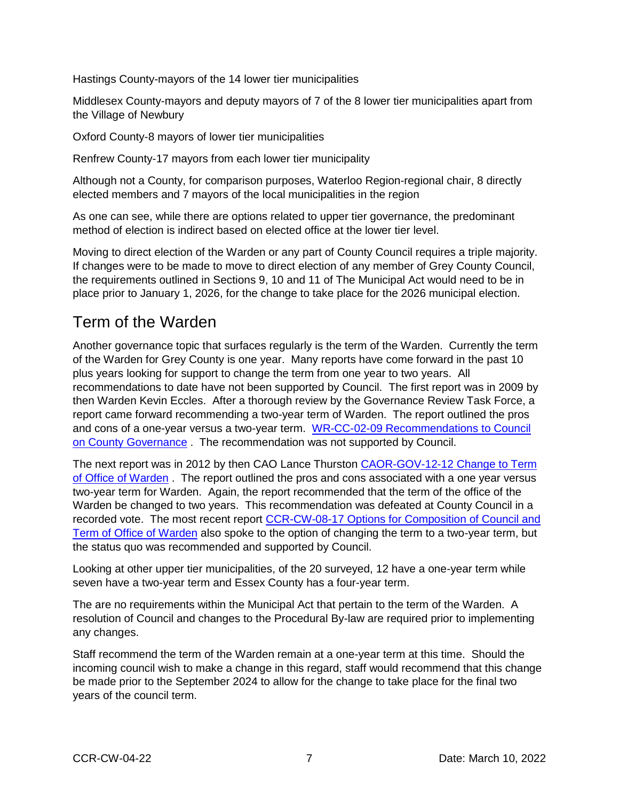Hastings County-mayors of the 14 lower tier municipalities

Middlesex County-mayors and deputy mayors of 7 of the 8 lower tier municipalities apart from the Village of Newbury

Oxford County-8 mayors of lower tier municipalities

Renfrew County-17 mayors from each lower tier municipality

Although not a County, for comparison purposes, Waterloo Region-regional chair, 8 directly elected members and 7 mayors of the local municipalities in the region

As one can see, while there are options related to upper tier governance, the predominant method of election is indirect based on elected office at the lower tier level.

Moving to direct election of the Warden or any part of County Council requires a triple majority. If changes were to be made to move to direct election of any member of Grey County Council, the requirements outlined in Sections 9, 10 and 11 of The Municipal Act would need to be in place prior to January 1, 2026, for the change to take place for the 2026 municipal election.

## Term of the Warden

Another governance topic that surfaces regularly is the term of the Warden. Currently the term of the Warden for Grey County is one year. Many reports have come forward in the past 10 plus years looking for support to change the term from one year to two years. All recommendations to date have not been supported by Council. The first report was in 2009 by then Warden Kevin Eccles. After a thorough review by the Governance Review Task Force, a report came forward recommending a two-year term of Warden. The report outlined the pros and cons of a one-year versus a two-year term. [WR-CC-02-09 Recommendations to Council](https://docs.grey.ca/share/s/6_8XlvXKQsemyncrkrqUfw)  [on County Governance](https://docs.grey.ca/share/s/6_8XlvXKQsemyncrkrqUfw). The recommendation was not supported by Council.

The next report was in 2012 by then CAO Lance Thurston [CAOR-GOV-12-12 Change to Term](https://docs.grey.ca/share/s/Tqu74idDROOwgTH0Si5rTQ)  [of Office of Warden](https://docs.grey.ca/share/s/Tqu74idDROOwgTH0Si5rTQ). The report outlined the pros and cons associated with a one year versus two-year term for Warden. Again, the report recommended that the term of the office of the Warden be changed to two years. This recommendation was defeated at County Council in a recorded vote. The most recent report [CCR-CW-08-17 Options for Composition of Council and](https://docs.grey.ca/share/s/r9TwYnkzRx6IRgrRWXhfgg)  [Term of Office of Warden](https://docs.grey.ca/share/s/r9TwYnkzRx6IRgrRWXhfgg) also spoke to the option of changing the term to a two-year term, but the status quo was recommended and supported by Council.

Looking at other upper tier municipalities, of the 20 surveyed, 12 have a one-year term while seven have a two-year term and Essex County has a four-year term.

The are no requirements within the Municipal Act that pertain to the term of the Warden. A resolution of Council and changes to the Procedural By-law are required prior to implementing any changes.

Staff recommend the term of the Warden remain at a one-year term at this time. Should the incoming council wish to make a change in this regard, staff would recommend that this change be made prior to the September 2024 to allow for the change to take place for the final two years of the council term.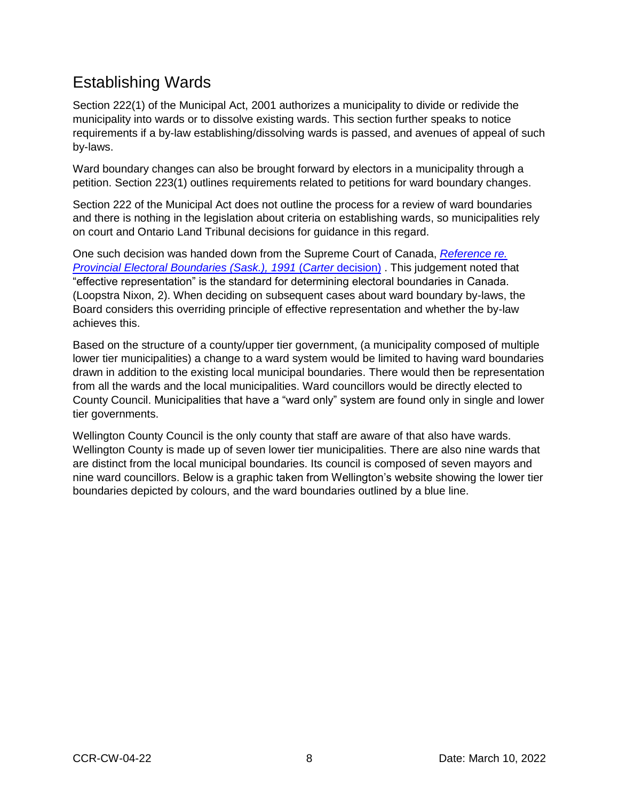## Establishing Wards

Section 222(1) of the Municipal Act, 2001 authorizes a municipality to divide or redivide the municipality into wards or to dissolve existing wards. This section further speaks to notice requirements if a by-law establishing/dissolving wards is passed, and avenues of appeal of such by-laws.

Ward boundary changes can also be brought forward by electors in a municipality through a petition. Section 223(1) outlines requirements related to petitions for ward boundary changes.

Section 222 of the Municipal Act does not outline the process for a review of ward boundaries and there is nothing in the legislation about criteria on establishing wards, so municipalities rely on court and Ontario Land Tribunal decisions for guidance in this regard.

One such decision was handed down from the Supreme Court of Canada, *[Reference re.](https://scc-csc.lexum.com/scc-csc/scc-csc/en/item/766/index.do)  [Provincial Electoral Boundaries \(Sask.\), 1991](https://scc-csc.lexum.com/scc-csc/scc-csc/en/item/766/index.do)* (*Carter* decision) . This judgement noted that "effective representation" is the standard for determining electoral boundaries in Canada. (Loopstra Nixon, 2). When deciding on subsequent cases about ward boundary by-laws, the Board considers this overriding principle of effective representation and whether the by-law achieves this.

Based on the structure of a county/upper tier government, (a municipality composed of multiple lower tier municipalities) a change to a ward system would be limited to having ward boundaries drawn in addition to the existing local municipal boundaries. There would then be representation from all the wards and the local municipalities. Ward councillors would be directly elected to County Council. Municipalities that have a "ward only" system are found only in single and lower tier governments.

Wellington County Council is the only county that staff are aware of that also have wards. Wellington County is made up of seven lower tier municipalities. There are also nine wards that are distinct from the local municipal boundaries. Its council is composed of seven mayors and nine ward councillors. Below is a graphic taken from Wellington's website showing the lower tier boundaries depicted by colours, and the ward boundaries outlined by a blue line.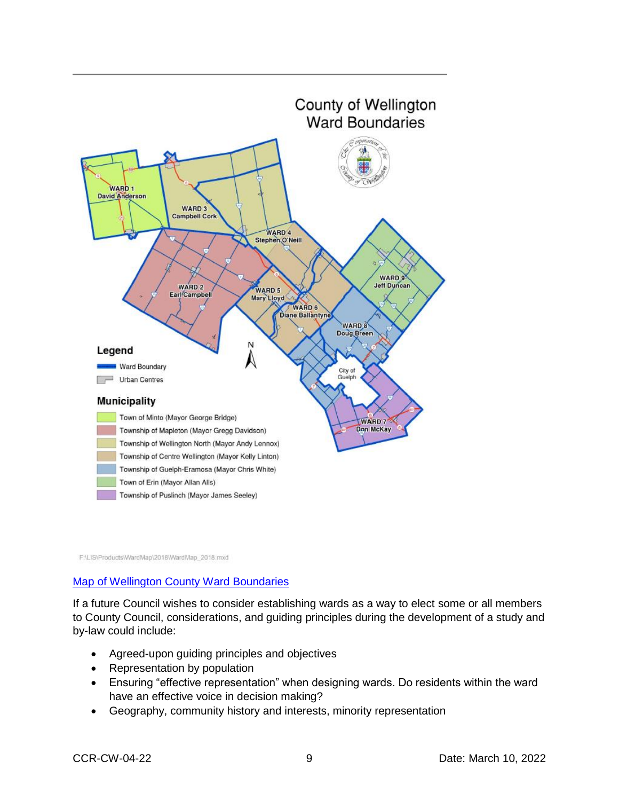

F:\LIS\Products\WardMap\2018\WardMap\_2018.mxd

#### [Map of Wellington County Ward Boundaries](https://www.wellington.ca/en/resident-services/resources/Planning/mappage/County-of-Wellington-Ward-Boundaries-Map---Sept-2021.pdf)

If a future Council wishes to consider establishing wards as a way to elect some or all members to County Council, considerations, and guiding principles during the development of a study and by-law could include:

- Agreed-upon guiding principles and objectives
- Representation by population
- Ensuring "effective representation" when designing wards. Do residents within the ward have an effective voice in decision making?
- Geography, community history and interests, minority representation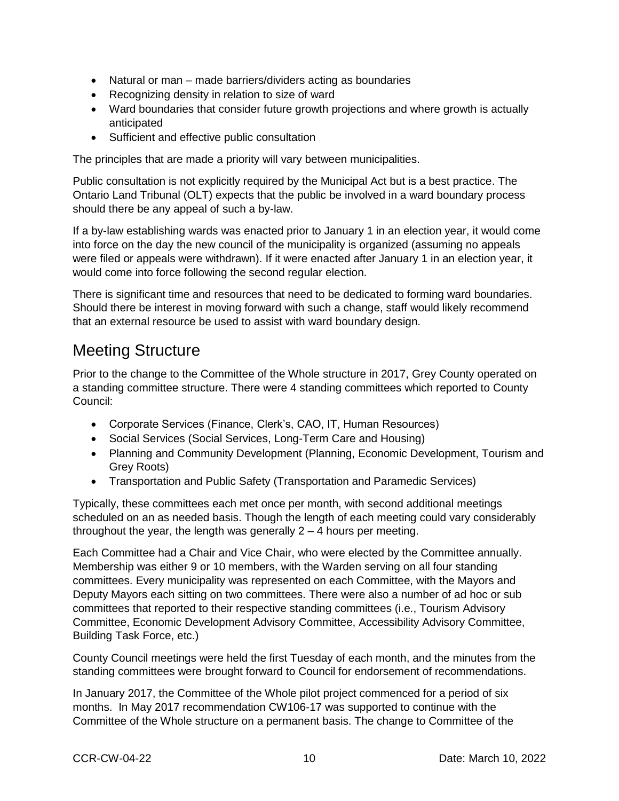- Natural or man made barriers/dividers acting as boundaries
- Recognizing density in relation to size of ward
- Ward boundaries that consider future growth projections and where growth is actually anticipated
- Sufficient and effective public consultation

The principles that are made a priority will vary between municipalities.

Public consultation is not explicitly required by the Municipal Act but is a best practice. The Ontario Land Tribunal (OLT) expects that the public be involved in a ward boundary process should there be any appeal of such a by-law.

If a by-law establishing wards was enacted prior to January 1 in an election year, it would come into force on the day the new council of the municipality is organized (assuming no appeals were filed or appeals were withdrawn). If it were enacted after January 1 in an election year, it would come into force following the second regular election.

There is significant time and resources that need to be dedicated to forming ward boundaries. Should there be interest in moving forward with such a change, staff would likely recommend that an external resource be used to assist with ward boundary design.

## Meeting Structure

Prior to the change to the Committee of the Whole structure in 2017, Grey County operated on a standing committee structure. There were 4 standing committees which reported to County Council:

- Corporate Services (Finance, Clerk's, CAO, IT, Human Resources)
- Social Services (Social Services, Long-Term Care and Housing)
- Planning and Community Development (Planning, Economic Development, Tourism and Grey Roots)
- Transportation and Public Safety (Transportation and Paramedic Services)

Typically, these committees each met once per month, with second additional meetings scheduled on an as needed basis. Though the length of each meeting could vary considerably throughout the year, the length was generally 2 – 4 hours per meeting.

Each Committee had a Chair and Vice Chair, who were elected by the Committee annually. Membership was either 9 or 10 members, with the Warden serving on all four standing committees. Every municipality was represented on each Committee, with the Mayors and Deputy Mayors each sitting on two committees. There were also a number of ad hoc or sub committees that reported to their respective standing committees (i.e., Tourism Advisory Committee, Economic Development Advisory Committee, Accessibility Advisory Committee, Building Task Force, etc.)

County Council meetings were held the first Tuesday of each month, and the minutes from the standing committees were brought forward to Council for endorsement of recommendations.

In January 2017, the Committee of the Whole pilot project commenced for a period of six months. In May 2017 recommendation CW106-17 was supported to continue with the Committee of the Whole structure on a permanent basis. The change to Committee of the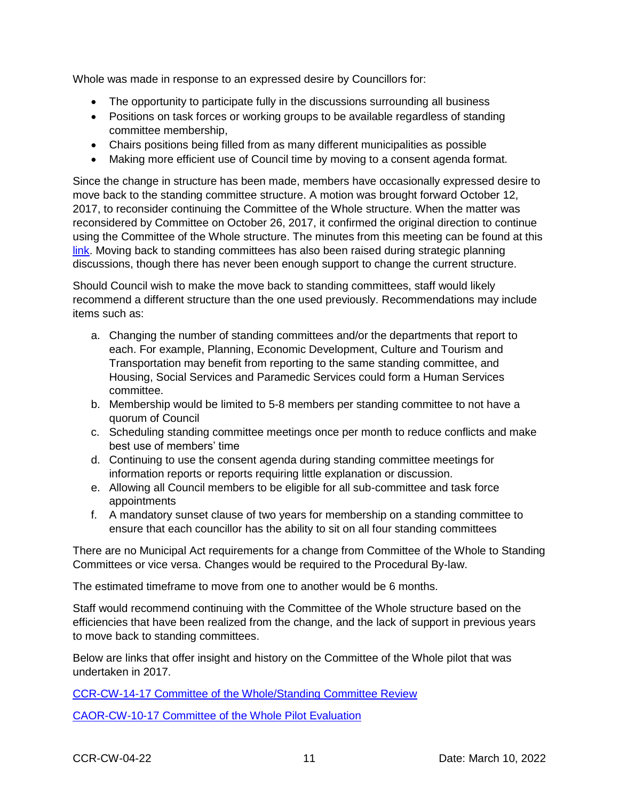Whole was made in response to an expressed desire by Councillors for:

- The opportunity to participate fully in the discussions surrounding all business
- Positions on task forces or working groups to be available regardless of standing committee membership,
- Chairs positions being filled from as many different municipalities as possible
- Making more efficient use of Council time by moving to a consent agenda format.

Since the change in structure has been made, members have occasionally expressed desire to move back to the standing committee structure. A motion was brought forward October 12, 2017, to reconsider continuing the Committee of the Whole structure. When the matter was reconsidered by Committee on October 26, 2017, it confirmed the original direction to continue using the Committee of the Whole structure. The minutes from this meeting can be found at this [link.](https://docs.grey.ca/share/s/LkwqCCbzQBy2Z6hDMz1CTA) Moving back to standing committees has also been raised during strategic planning discussions, though there has never been enough support to change the current structure.

Should Council wish to make the move back to standing committees, staff would likely recommend a different structure than the one used previously. Recommendations may include items such as:

- a. Changing the number of standing committees and/or the departments that report to each. For example, Planning, Economic Development, Culture and Tourism and Transportation may benefit from reporting to the same standing committee, and Housing, Social Services and Paramedic Services could form a Human Services committee.
- b. Membership would be limited to 5-8 members per standing committee to not have a quorum of Council
- c. Scheduling standing committee meetings once per month to reduce conflicts and make best use of members' time
- d. Continuing to use the consent agenda during standing committee meetings for information reports or reports requiring little explanation or discussion.
- e. Allowing all Council members to be eligible for all sub-committee and task force appointments
- f. A mandatory sunset clause of two years for membership on a standing committee to ensure that each councillor has the ability to sit on all four standing committees

There are no Municipal Act requirements for a change from Committee of the Whole to Standing Committees or vice versa. Changes would be required to the Procedural By-law.

The estimated timeframe to move from one to another would be 6 months.

Staff would recommend continuing with the Committee of the Whole structure based on the efficiencies that have been realized from the change, and the lack of support in previous years to move back to standing committees.

Below are links that offer insight and history on the Committee of the Whole pilot that was undertaken in 2017.

[CCR-CW-14-17 Committee of the Whole/Standing Committee Review](https://docs.grey.ca/share/public?nodeRef=workspace://SpacesStore/b6412d22-422d-4b32-97cb-e7a6891f6d7e)

[CAOR-CW-10-17 Committee of the Whole Pilot Evaluation](https://docs.grey.ca/share/s/_A8MJnpTQbSNjq1aPletyg)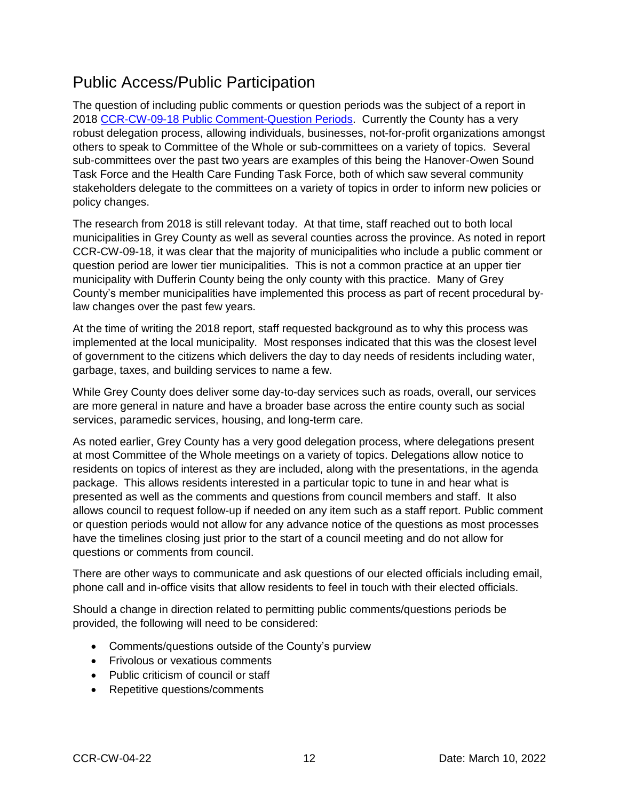#### Public Access/Public Participation

The question of including public comments or question periods was the subject of a report in 2018 [CCR-CW-09-18 Public Comment-Question Periods.](https://docs.grey.ca/share/public?nodeRef=workspace://SpacesStore/7b214e88-5650-4720-be62-9736c3cd2b7f) Currently the County has a very robust delegation process, allowing individuals, businesses, not-for-profit organizations amongst others to speak to Committee of the Whole or sub-committees on a variety of topics. Several sub-committees over the past two years are examples of this being the Hanover-Owen Sound Task Force and the Health Care Funding Task Force, both of which saw several community stakeholders delegate to the committees on a variety of topics in order to inform new policies or policy changes.

The research from 2018 is still relevant today. At that time, staff reached out to both local municipalities in Grey County as well as several counties across the province. As noted in report CCR-CW-09-18, it was clear that the majority of municipalities who include a public comment or question period are lower tier municipalities. This is not a common practice at an upper tier municipality with Dufferin County being the only county with this practice. Many of Grey County's member municipalities have implemented this process as part of recent procedural bylaw changes over the past few years.

At the time of writing the 2018 report, staff requested background as to why this process was implemented at the local municipality. Most responses indicated that this was the closest level of government to the citizens which delivers the day to day needs of residents including water, garbage, taxes, and building services to name a few.

While Grey County does deliver some day-to-day services such as roads, overall, our services are more general in nature and have a broader base across the entire county such as social services, paramedic services, housing, and long-term care.

As noted earlier, Grey County has a very good delegation process, where delegations present at most Committee of the Whole meetings on a variety of topics. Delegations allow notice to residents on topics of interest as they are included, along with the presentations, in the agenda package. This allows residents interested in a particular topic to tune in and hear what is presented as well as the comments and questions from council members and staff. It also allows council to request follow-up if needed on any item such as a staff report. Public comment or question periods would not allow for any advance notice of the questions as most processes have the timelines closing just prior to the start of a council meeting and do not allow for questions or comments from council.

There are other ways to communicate and ask questions of our elected officials including email, phone call and in-office visits that allow residents to feel in touch with their elected officials.

Should a change in direction related to permitting public comments/questions periods be provided, the following will need to be considered:

- Comments/questions outside of the County's purview
- Frivolous or vexatious comments
- Public criticism of council or staff
- Repetitive questions/comments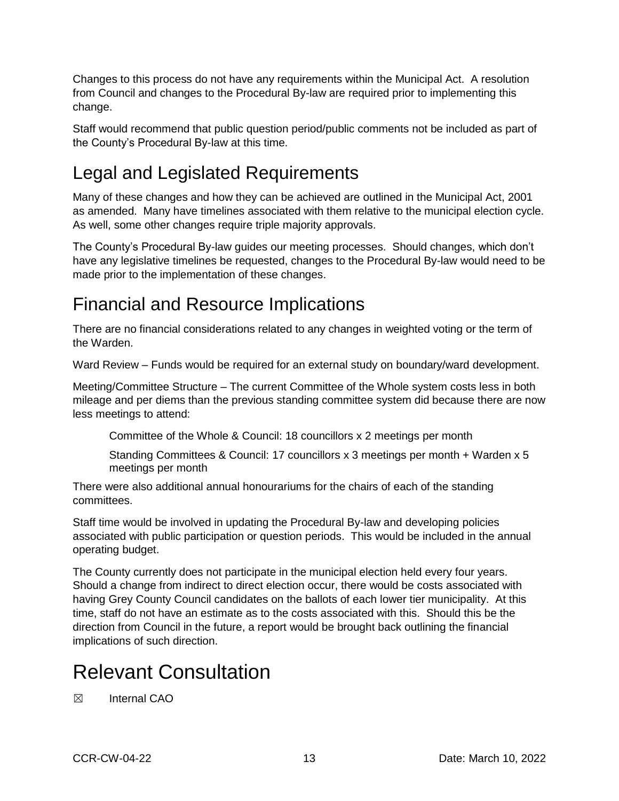Changes to this process do not have any requirements within the Municipal Act. A resolution from Council and changes to the Procedural By-law are required prior to implementing this change.

Staff would recommend that public question period/public comments not be included as part of the County's Procedural By-law at this time.

# Legal and Legislated Requirements

Many of these changes and how they can be achieved are outlined in the Municipal Act, 2001 as amended. Many have timelines associated with them relative to the municipal election cycle. As well, some other changes require triple majority approvals.

The County's Procedural By-law guides our meeting processes. Should changes, which don't have any legislative timelines be requested, changes to the Procedural By-law would need to be made prior to the implementation of these changes.

## Financial and Resource Implications

There are no financial considerations related to any changes in weighted voting or the term of the Warden.

Ward Review – Funds would be required for an external study on boundary/ward development.

Meeting/Committee Structure – The current Committee of the Whole system costs less in both mileage and per diems than the previous standing committee system did because there are now less meetings to attend:

Committee of the Whole & Council: 18 councillors x 2 meetings per month

Standing Committees & Council: 17 councillors x 3 meetings per month + Warden x 5 meetings per month

There were also additional annual honourariums for the chairs of each of the standing committees.

Staff time would be involved in updating the Procedural By-law and developing policies associated with public participation or question periods. This would be included in the annual operating budget.

The County currently does not participate in the municipal election held every four years. Should a change from indirect to direct election occur, there would be costs associated with having Grey County Council candidates on the ballots of each lower tier municipality. At this time, staff do not have an estimate as to the costs associated with this. Should this be the direction from Council in the future, a report would be brought back outlining the financial implications of such direction.

# Relevant Consultation

☒ Internal CAO